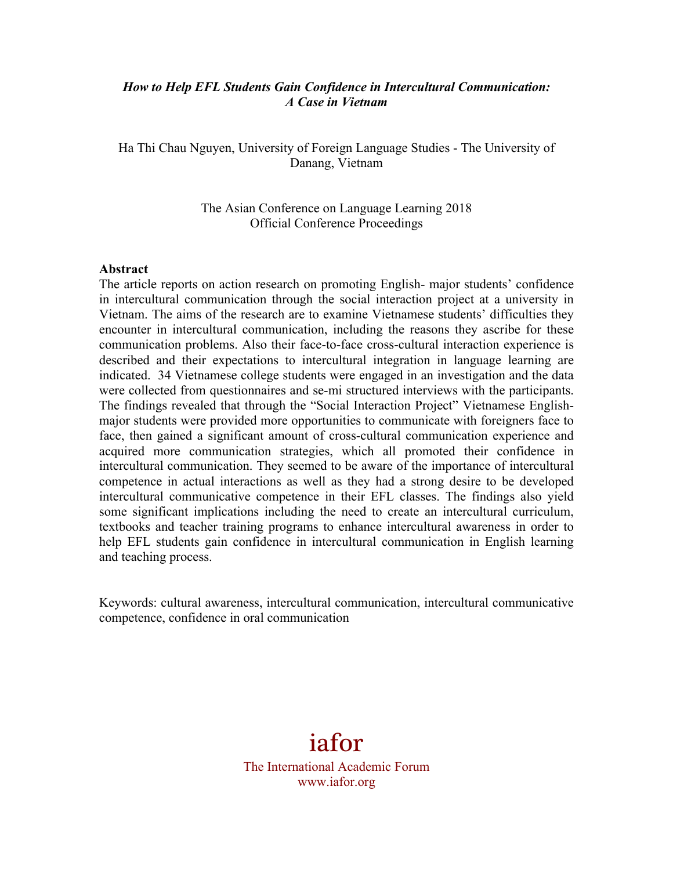#### *How to Help EFL Students Gain Confidence in Intercultural Communication: A Case in Vietnam*

Ha Thi Chau Nguyen, University of Foreign Language Studies - The University of Danang, Vietnam

> The Asian Conference on Language Learning 2018 Official Conference Proceedings

#### **Abstract**

The article reports on action research on promoting English- major students' confidence in intercultural communication through the social interaction project at a university in Vietnam. The aims of the research are to examine Vietnamese students' difficulties they encounter in intercultural communication, including the reasons they ascribe for these communication problems. Also their face-to-face cross-cultural interaction experience is described and their expectations to intercultural integration in language learning are indicated. 34 Vietnamese college students were engaged in an investigation and the data were collected from questionnaires and se-mi structured interviews with the participants. The findings revealed that through the "Social Interaction Project" Vietnamese Englishmajor students were provided more opportunities to communicate with foreigners face to face, then gained a significant amount of cross-cultural communication experience and acquired more communication strategies, which all promoted their confidence in intercultural communication. They seemed to be aware of the importance of intercultural competence in actual interactions as well as they had a strong desire to be developed intercultural communicative competence in their EFL classes. The findings also yield some significant implications including the need to create an intercultural curriculum, textbooks and teacher training programs to enhance intercultural awareness in order to help EFL students gain confidence in intercultural communication in English learning and teaching process.

Keywords: cultural awareness, intercultural communication, intercultural communicative competence, confidence in oral communication

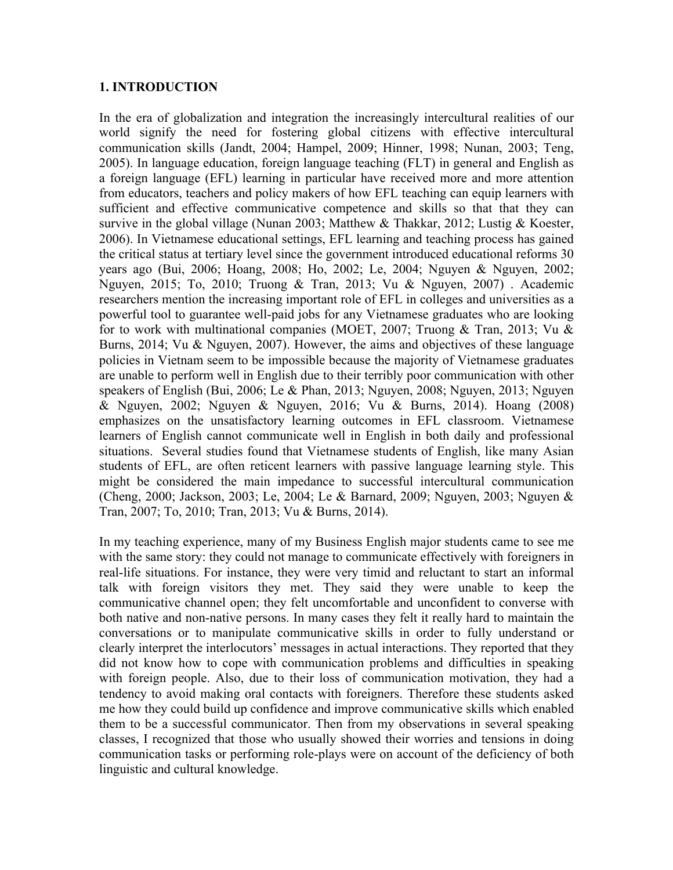#### **1. INTRODUCTION**

In the era of globalization and integration the increasingly intercultural realities of our world signify the need for fostering global citizens with effective intercultural communication skills (Jandt, 2004; Hampel, 2009; Hinner, 1998; Nunan, 2003; Teng, 2005). In language education, foreign language teaching (FLT) in general and English as a foreign language (EFL) learning in particular have received more and more attention from educators, teachers and policy makers of how EFL teaching can equip learners with sufficient and effective communicative competence and skills so that that they can survive in the global village (Nunan 2003; Matthew & Thakkar, 2012; Lustig & Koester, 2006). In Vietnamese educational settings, EFL learning and teaching process has gained the critical status at tertiary level since the government introduced educational reforms 30 years ago (Bui, 2006; Hoang, 2008; Ho, 2002; Le, 2004; Nguyen & Nguyen, 2002; Nguyen, 2015; To, 2010; Truong & Tran, 2013; Vu & Nguyen, 2007) . Academic researchers mention the increasing important role of EFL in colleges and universities as a powerful tool to guarantee well-paid jobs for any Vietnamese graduates who are looking for to work with multinational companies (MOET, 2007; Truong & Tran, 2013; Vu & Burns, 2014; Vu & Nguyen, 2007). However, the aims and objectives of these language policies in Vietnam seem to be impossible because the majority of Vietnamese graduates are unable to perform well in English due to their terribly poor communication with other speakers of English (Bui, 2006; Le & Phan, 2013; Nguyen, 2008; Nguyen, 2013; Nguyen & Nguyen, 2002; Nguyen & Nguyen, 2016; Vu & Burns, 2014). Hoang (2008) emphasizes on the unsatisfactory learning outcomes in EFL classroom. Vietnamese learners of English cannot communicate well in English in both daily and professional situations. Several studies found that Vietnamese students of English, like many Asian students of EFL, are often reticent learners with passive language learning style. This might be considered the main impedance to successful intercultural communication (Cheng, 2000; Jackson, 2003; Le, 2004; Le & Barnard, 2009; Nguyen, 2003; Nguyen & Tran, 2007; To, 2010; Tran, 2013; Vu & Burns, 2014).

In my teaching experience, many of my Business English major students came to see me with the same story: they could not manage to communicate effectively with foreigners in real-life situations. For instance, they were very timid and reluctant to start an informal talk with foreign visitors they met. They said they were unable to keep the communicative channel open; they felt uncomfortable and unconfident to converse with both native and non-native persons. In many cases they felt it really hard to maintain the conversations or to manipulate communicative skills in order to fully understand or clearly interpret the interlocutors' messages in actual interactions. They reported that they did not know how to cope with communication problems and difficulties in speaking with foreign people. Also, due to their loss of communication motivation, they had a tendency to avoid making oral contacts with foreigners. Therefore these students asked me how they could build up confidence and improve communicative skills which enabled them to be a successful communicator. Then from my observations in several speaking classes, I recognized that those who usually showed their worries and tensions in doing communication tasks or performing role-plays were on account of the deficiency of both linguistic and cultural knowledge.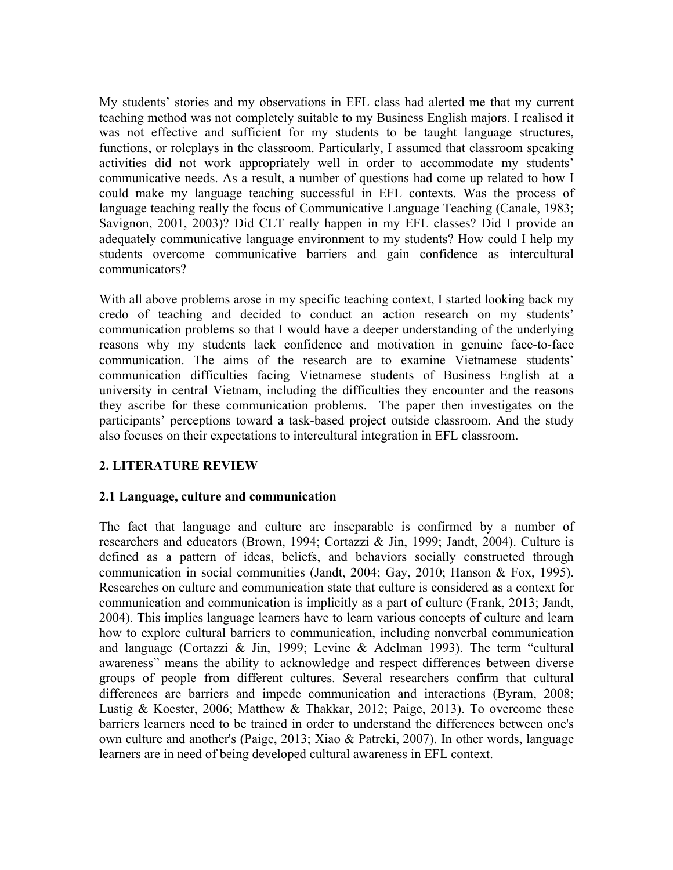My students' stories and my observations in EFL class had alerted me that my current teaching method was not completely suitable to my Business English majors. I realised it was not effective and sufficient for my students to be taught language structures, functions, or roleplays in the classroom. Particularly, I assumed that classroom speaking activities did not work appropriately well in order to accommodate my students' communicative needs. As a result, a number of questions had come up related to how I could make my language teaching successful in EFL contexts. Was the process of language teaching really the focus of Communicative Language Teaching (Canale, 1983; Savignon, 2001, 2003)? Did CLT really happen in my EFL classes? Did I provide an adequately communicative language environment to my students? How could I help my students overcome communicative barriers and gain confidence as intercultural communicators?

With all above problems arose in my specific teaching context, I started looking back my credo of teaching and decided to conduct an action research on my students' communication problems so that I would have a deeper understanding of the underlying reasons why my students lack confidence and motivation in genuine face-to-face communication. The aims of the research are to examine Vietnamese students' communication difficulties facing Vietnamese students of Business English at a university in central Vietnam, including the difficulties they encounter and the reasons they ascribe for these communication problems. The paper then investigates on the participants' perceptions toward a task-based project outside classroom. And the study also focuses on their expectations to intercultural integration in EFL classroom.

## **2. LITERATURE REVIEW**

#### **2.1 Language, culture and communication**

The fact that language and culture are inseparable is confirmed by a number of researchers and educators (Brown, 1994; Cortazzi & Jin, 1999; Jandt, 2004). Culture is defined as a pattern of ideas, beliefs, and behaviors socially constructed through communication in social communities (Jandt, 2004; Gay, 2010; Hanson & Fox, 1995). Researches on culture and communication state that culture is considered as a context for communication and communication is implicitly as a part of culture (Frank, 2013; Jandt, 2004). This implies language learners have to learn various concepts of culture and learn how to explore cultural barriers to communication, including nonverbal communication and language (Cortazzi & Jin, 1999; Levine & Adelman 1993). The term "cultural awareness" means the ability to acknowledge and respect differences between diverse groups of people from different cultures. Several researchers confirm that cultural differences are barriers and impede communication and interactions (Byram, 2008; Lustig & Koester, 2006; Matthew & Thakkar, 2012; Paige, 2013). To overcome these barriers learners need to be trained in order to understand the differences between one's own culture and another's (Paige, 2013; Xiao & Patreki, 2007). In other words, language learners are in need of being developed cultural awareness in EFL context.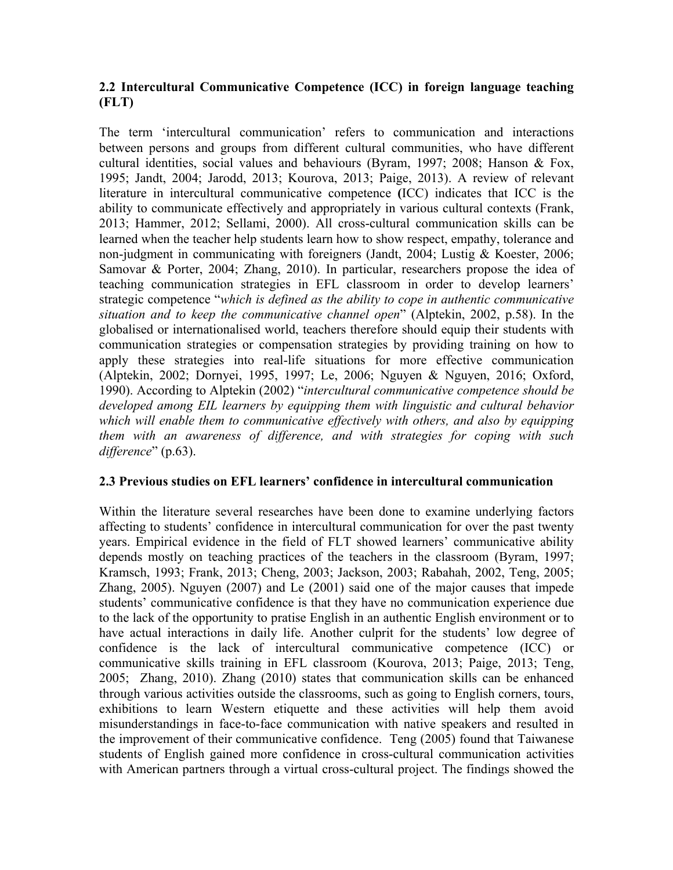## **2.2 Intercultural Communicative Competence (ICC) in foreign language teaching (FLT)**

The term 'intercultural communication' refers to communication and interactions between persons and groups from different cultural communities, who have different cultural identities, social values and behaviours (Byram, 1997; 2008; Hanson & Fox, 1995; Jandt, 2004; Jarodd, 2013; Kourova, 2013; Paige, 2013). A review of relevant literature in intercultural communicative competence **(**ICC) indicates that ICC is the ability to communicate effectively and appropriately in various cultural contexts (Frank, 2013; Hammer, 2012; Sellami, 2000). All cross-cultural communication skills can be learned when the teacher help students learn how to show respect, empathy, tolerance and non-judgment in communicating with foreigners (Jandt, 2004; Lustig & Koester, 2006; Samovar & Porter, 2004; Zhang, 2010). In particular, researchers propose the idea of teaching communication strategies in EFL classroom in order to develop learners' strategic competence "*which is defined as the ability to cope in authentic communicative situation and to keep the communicative channel open*" (Alptekin, 2002, p.58). In the globalised or internationalised world, teachers therefore should equip their students with communication strategies or compensation strategies by providing training on how to apply these strategies into real-life situations for more effective communication (Alptekin, 2002; Dornyei, 1995, 1997; Le, 2006; Nguyen & Nguyen, 2016; Oxford, 1990). According to Alptekin (2002) "*intercultural communicative competence should be developed among EIL learners by equipping them with linguistic and cultural behavior which will enable them to communicative effectively with others, and also by equipping them with an awareness of difference, and with strategies for coping with such difference*" (p.63).

## **2.3 Previous studies on EFL learners' confidence in intercultural communication**

Within the literature several researches have been done to examine underlying factors affecting to students' confidence in intercultural communication for over the past twenty years. Empirical evidence in the field of FLT showed learners' communicative ability depends mostly on teaching practices of the teachers in the classroom (Byram, 1997; Kramsch, 1993; Frank, 2013; Cheng, 2003; Jackson, 2003; Rabahah, 2002, Teng, 2005; Zhang, 2005). Nguyen (2007) and Le (2001) said one of the major causes that impede students' communicative confidence is that they have no communication experience due to the lack of the opportunity to pratise English in an authentic English environment or to have actual interactions in daily life. Another culprit for the students' low degree of confidence is the lack of intercultural communicative competence (ICC) or communicative skills training in EFL classroom (Kourova, 2013; Paige, 2013; Teng, 2005; Zhang, 2010). Zhang (2010) states that communication skills can be enhanced through various activities outside the classrooms, such as going to English corners, tours, exhibitions to learn Western etiquette and these activities will help them avoid misunderstandings in face-to-face communication with native speakers and resulted in the improvement of their communicative confidence. Teng (2005) found that Taiwanese students of English gained more confidence in cross-cultural communication activities with American partners through a virtual cross-cultural project. The findings showed the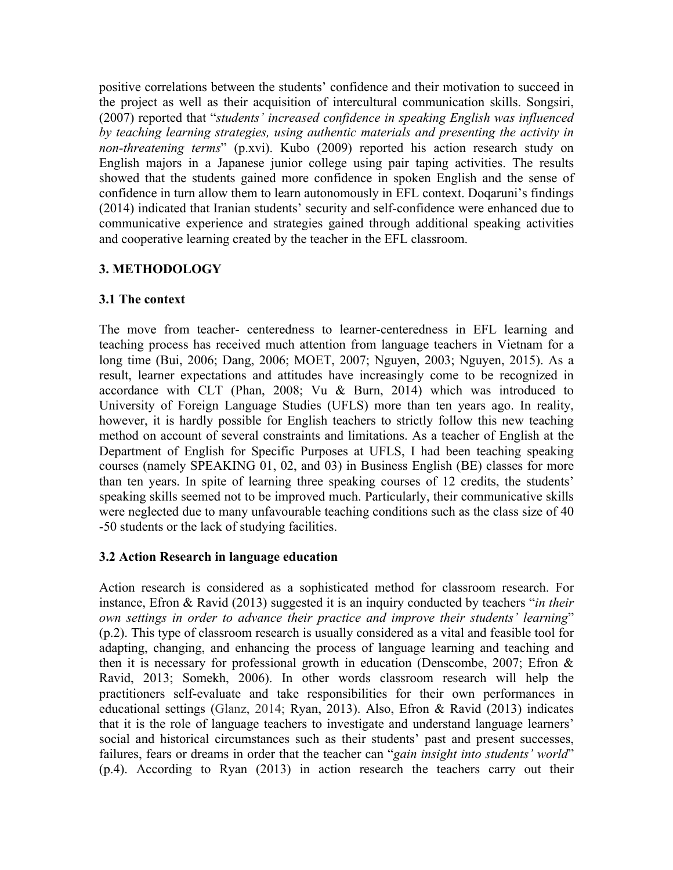positive correlations between the students' confidence and their motivation to succeed in the project as well as their acquisition of intercultural communication skills. Songsiri, (2007) reported that "*students' increased confidence in speaking English was influenced by teaching learning strategies, using authentic materials and presenting the activity in non-threatening terms*" (p.xvi). Kubo (2009) reported his action research study on English majors in a Japanese junior college using pair taping activities. The results showed that the students gained more confidence in spoken English and the sense of confidence in turn allow them to learn autonomously in EFL context. Doqaruni's findings (2014) indicated that Iranian students' security and self-confidence were enhanced due to communicative experience and strategies gained through additional speaking activities and cooperative learning created by the teacher in the EFL classroom.

# **3. METHODOLOGY**

### **3.1 The context**

The move from teacher- centeredness to learner-centeredness in EFL learning and teaching process has received much attention from language teachers in Vietnam for a long time (Bui, 2006; Dang, 2006; MOET, 2007; Nguyen, 2003; Nguyen, 2015). As a result, learner expectations and attitudes have increasingly come to be recognized in accordance with CLT (Phan, 2008; Vu & Burn, 2014) which was introduced to University of Foreign Language Studies (UFLS) more than ten years ago. In reality, however, it is hardly possible for English teachers to strictly follow this new teaching method on account of several constraints and limitations. As a teacher of English at the Department of English for Specific Purposes at UFLS, I had been teaching speaking courses (namely SPEAKING 01, 02, and 03) in Business English (BE) classes for more than ten years. In spite of learning three speaking courses of 12 credits, the students' speaking skills seemed not to be improved much. Particularly, their communicative skills were neglected due to many unfavourable teaching conditions such as the class size of 40 -50 students or the lack of studying facilities.

## **3.2 Action Research in language education**

Action research is considered as a sophisticated method for classroom research. For instance, Efron & Ravid (2013) suggested it is an inquiry conducted by teachers "*in their own settings in order to advance their practice and improve their students' learning*" (p.2). This type of classroom research is usually considered as a vital and feasible tool for adapting, changing, and enhancing the process of language learning and teaching and then it is necessary for professional growth in education (Denscombe, 2007; Efron & Ravid, 2013; Somekh, 2006). In other words classroom research will help the practitioners self-evaluate and take responsibilities for their own performances in educational settings (Glanz, 2014; Ryan, 2013). Also, Efron & Ravid (2013) indicates that it is the role of language teachers to investigate and understand language learners' social and historical circumstances such as their students' past and present successes, failures, fears or dreams in order that the teacher can "*gain insight into students' world*" (p.4). According to Ryan (2013) in action research the teachers carry out their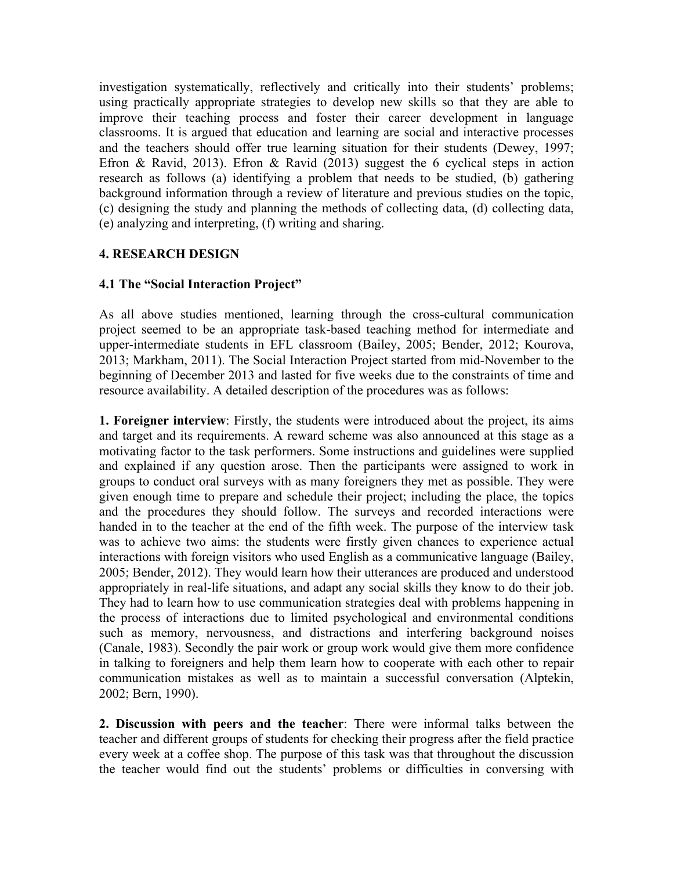investigation systematically, reflectively and critically into their students' problems; using practically appropriate strategies to develop new skills so that they are able to improve their teaching process and foster their career development in language classrooms. It is argued that education and learning are social and interactive processes and the teachers should offer true learning situation for their students (Dewey, 1997; Efron & Ravid, 2013). Efron & Ravid (2013) suggest the 6 cyclical steps in action research as follows (a) identifying a problem that needs to be studied, (b) gathering background information through a review of literature and previous studies on the topic, (c) designing the study and planning the methods of collecting data, (d) collecting data, (e) analyzing and interpreting, (f) writing and sharing.

## **4. RESEARCH DESIGN**

### **4.1 The "Social Interaction Project"**

As all above studies mentioned, learning through the cross-cultural communication project seemed to be an appropriate task-based teaching method for intermediate and upper-intermediate students in EFL classroom (Bailey, 2005; Bender, 2012; Kourova, 2013; Markham, 2011). The Social Interaction Project started from mid-November to the beginning of December 2013 and lasted for five weeks due to the constraints of time and resource availability. A detailed description of the procedures was as follows:

**1. Foreigner interview**: Firstly, the students were introduced about the project, its aims and target and its requirements. A reward scheme was also announced at this stage as a motivating factor to the task performers. Some instructions and guidelines were supplied and explained if any question arose. Then the participants were assigned to work in groups to conduct oral surveys with as many foreigners they met as possible. They were given enough time to prepare and schedule their project; including the place, the topics and the procedures they should follow. The surveys and recorded interactions were handed in to the teacher at the end of the fifth week. The purpose of the interview task was to achieve two aims: the students were firstly given chances to experience actual interactions with foreign visitors who used English as a communicative language (Bailey, 2005; Bender, 2012). They would learn how their utterances are produced and understood appropriately in real-life situations, and adapt any social skills they know to do their job. They had to learn how to use communication strategies deal with problems happening in the process of interactions due to limited psychological and environmental conditions such as memory, nervousness, and distractions and interfering background noises (Canale, 1983). Secondly the pair work or group work would give them more confidence in talking to foreigners and help them learn how to cooperate with each other to repair communication mistakes as well as to maintain a successful conversation (Alptekin, 2002; Bern, 1990).

**2. Discussion with peers and the teacher**: There were informal talks between the teacher and different groups of students for checking their progress after the field practice every week at a coffee shop. The purpose of this task was that throughout the discussion the teacher would find out the students' problems or difficulties in conversing with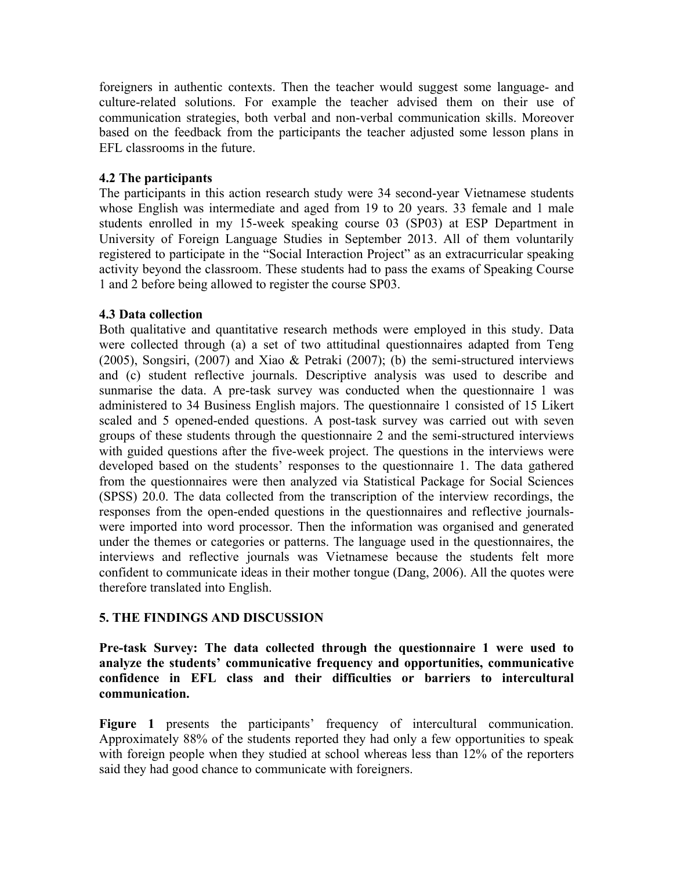foreigners in authentic contexts. Then the teacher would suggest some language- and culture-related solutions. For example the teacher advised them on their use of communication strategies, both verbal and non-verbal communication skills. Moreover based on the feedback from the participants the teacher adjusted some lesson plans in EFL classrooms in the future.

#### **4.2 The participants**

The participants in this action research study were 34 second-year Vietnamese students whose English was intermediate and aged from 19 to 20 years. 33 female and 1 male students enrolled in my 15-week speaking course 03 (SP03) at ESP Department in University of Foreign Language Studies in September 2013. All of them voluntarily registered to participate in the "Social Interaction Project" as an extracurricular speaking activity beyond the classroom. These students had to pass the exams of Speaking Course 1 and 2 before being allowed to register the course SP03.

### **4.3 Data collection**

Both qualitative and quantitative research methods were employed in this study. Data were collected through (a) a set of two attitudinal questionnaires adapted from Teng (2005), Songsiri, (2007) and Xiao & Petraki (2007); (b) the semi-structured interviews and (c) student reflective journals. Descriptive analysis was used to describe and sunmarise the data. A pre-task survey was conducted when the questionnaire 1 was administered to 34 Business English majors. The questionnaire 1 consisted of 15 Likert scaled and 5 opened-ended questions. A post-task survey was carried out with seven groups of these students through the questionnaire 2 and the semi-structured interviews with guided questions after the five-week project. The questions in the interviews were developed based on the students' responses to the questionnaire 1. The data gathered from the questionnaires were then analyzed via Statistical Package for Social Sciences (SPSS) 20.0. The data collected from the transcription of the interview recordings, the responses from the open-ended questions in the questionnaires and reflective journalswere imported into word processor. Then the information was organised and generated under the themes or categories or patterns. The language used in the questionnaires, the interviews and reflective journals was Vietnamese because the students felt more confident to communicate ideas in their mother tongue (Dang, 2006). All the quotes were therefore translated into English.

## **5. THE FINDINGS AND DISCUSSION**

**Pre-task Survey: The data collected through the questionnaire 1 were used to analyze the students' communicative frequency and opportunities, communicative confidence in EFL class and their difficulties or barriers to intercultural communication.**

**Figure 1** presents the participants' frequency of intercultural communication. Approximately 88% of the students reported they had only a few opportunities to speak with foreign people when they studied at school whereas less than 12% of the reporters said they had good chance to communicate with foreigners.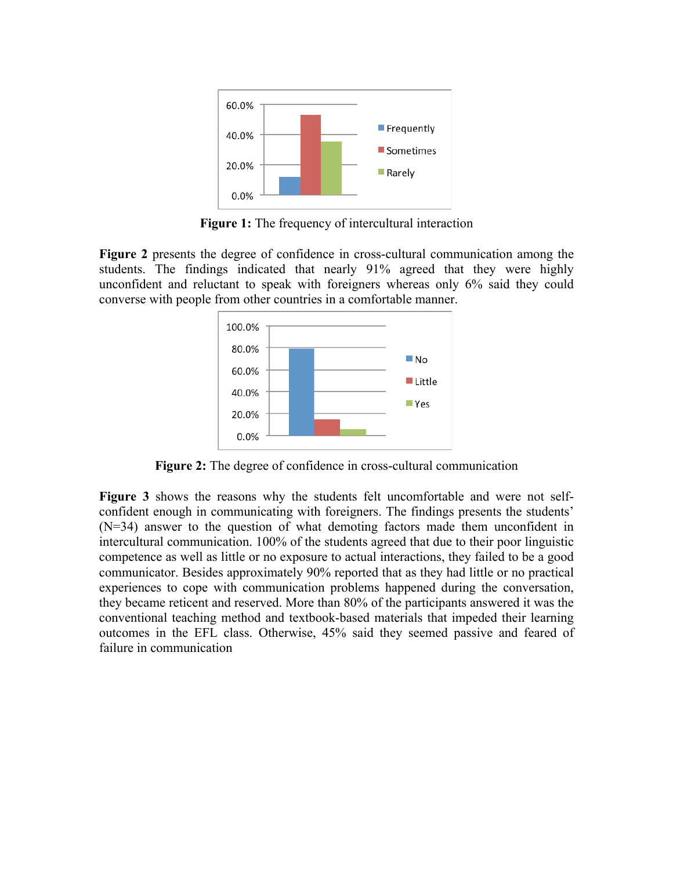

**Figure 1:** The frequency of intercultural interaction

**Figure 2** presents the degree of confidence in cross-cultural communication among the students. The findings indicated that nearly 91% agreed that they were highly unconfident and reluctant to speak with foreigners whereas only 6% said they could converse with people from other countries in a comfortable manner.



**Figure 2:** The degree of confidence in cross-cultural communication

**Figure 3** shows the reasons why the students felt uncomfortable and were not selfconfident enough in communicating with foreigners. The findings presents the students' (N=34) answer to the question of what demoting factors made them unconfident in intercultural communication. 100% of the students agreed that due to their poor linguistic competence as well as little or no exposure to actual interactions, they failed to be a good communicator. Besides approximately 90% reported that as they had little or no practical experiences to cope with communication problems happened during the conversation, they became reticent and reserved. More than 80% of the participants answered it was the conventional teaching method and textbook-based materials that impeded their learning outcomes in the EFL class. Otherwise, 45% said they seemed passive and feared of failure in communication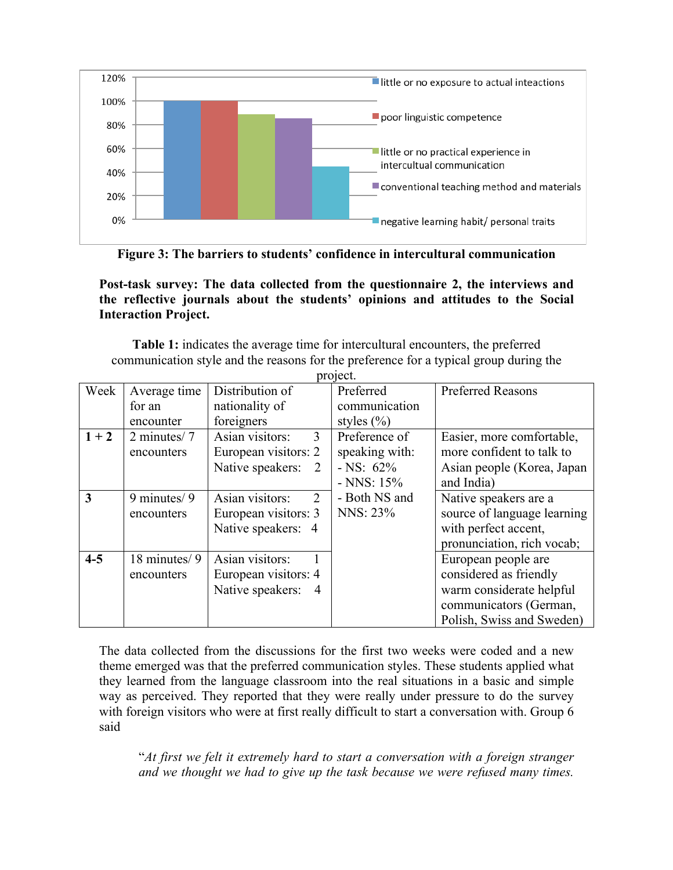

**Figure 3: The barriers to students' confidence in intercultural communication**

**Post-task survey: The data collected from the questionnaire 2, the interviews and the reflective journals about the students' opinions and attitudes to the Social Interaction Project.** 

**Table 1:** indicates the average time for intercultural encounters, the preferred communication style and the reasons for the preference for a typical group during the project.

|         |               |                      | PI 91 <b>96.</b> |                             |  |
|---------|---------------|----------------------|------------------|-----------------------------|--|
| Week    | Average time  | Distribution of      | Preferred        | <b>Preferred Reasons</b>    |  |
|         | for an        | nationality of       | communication    |                             |  |
|         | encounter     | foreigners           | styles $(\% )$   |                             |  |
| $1 + 2$ | 2 minutes/7   | 3<br>Asian visitors: | Preference of    | Easier, more comfortable,   |  |
|         | encounters    | European visitors: 2 | speaking with:   | more confident to talk to   |  |
|         |               | Native speakers: 2   | $-$ NS: 62%      | Asian people (Korea, Japan  |  |
|         |               |                      | $-NNS: 15%$      | and India)                  |  |
| 3       | 9 minutes/ 9  | Asian visitors:<br>2 | - Both NS and    | Native speakers are a       |  |
|         | encounters    | European visitors: 3 | NNS: 23%         | source of language learning |  |
|         |               | Native speakers: 4   |                  | with perfect accent,        |  |
|         |               |                      |                  | pronunciation, rich vocab;  |  |
| $4 - 5$ | 18 minutes/ 9 | Asian visitors:      |                  | European people are         |  |
|         | encounters    | European visitors: 4 |                  | considered as friendly      |  |
|         |               | Native speakers: 4   |                  | warm considerate helpful    |  |
|         |               |                      |                  | communicators (German,      |  |
|         |               |                      |                  | Polish, Swiss and Sweden)   |  |

The data collected from the discussions for the first two weeks were coded and a new theme emerged was that the preferred communication styles. These students applied what they learned from the language classroom into the real situations in a basic and simple way as perceived. They reported that they were really under pressure to do the survey with foreign visitors who were at first really difficult to start a conversation with. Group 6 said

"*At first we felt it extremely hard to start a conversation with a foreign stranger and we thought we had to give up the task because we were refused many times.*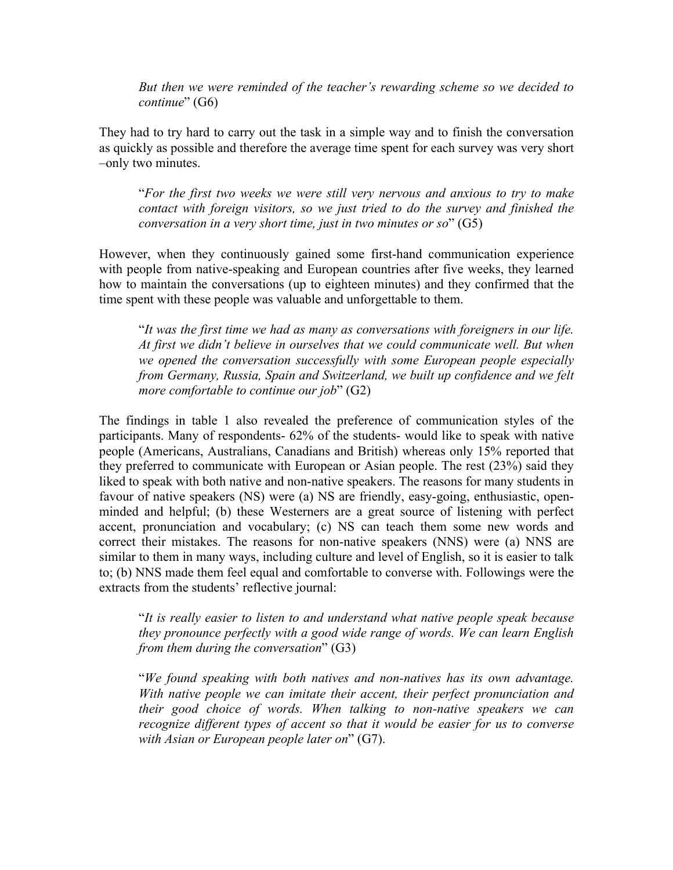*But then we were reminded of the teacher's rewarding scheme so we decided to continue*" (G6)

They had to try hard to carry out the task in a simple way and to finish the conversation as quickly as possible and therefore the average time spent for each survey was very short –only two minutes.

"*For the first two weeks we were still very nervous and anxious to try to make contact with foreign visitors, so we just tried to do the survey and finished the conversation in a very short time, just in two minutes or so*" (G5)

However, when they continuously gained some first-hand communication experience with people from native-speaking and European countries after five weeks, they learned how to maintain the conversations (up to eighteen minutes) and they confirmed that the time spent with these people was valuable and unforgettable to them.

"*It was the first time we had as many as conversations with foreigners in our life. At first we didn't believe in ourselves that we could communicate well. But when we opened the conversation successfully with some European people especially from Germany, Russia, Spain and Switzerland, we built up confidence and we felt more comfortable to continue our job*" (G2)

The findings in table 1 also revealed the preference of communication styles of the participants. Many of respondents- 62% of the students- would like to speak with native people (Americans, Australians, Canadians and British) whereas only 15% reported that they preferred to communicate with European or Asian people. The rest (23%) said they liked to speak with both native and non-native speakers. The reasons for many students in favour of native speakers (NS) were (a) NS are friendly, easy-going, enthusiastic, openminded and helpful; (b) these Westerners are a great source of listening with perfect accent, pronunciation and vocabulary; (c) NS can teach them some new words and correct their mistakes. The reasons for non-native speakers (NNS) were (a) NNS are similar to them in many ways, including culture and level of English, so it is easier to talk to; (b) NNS made them feel equal and comfortable to converse with. Followings were the extracts from the students' reflective journal:

"*It is really easier to listen to and understand what native people speak because they pronounce perfectly with a good wide range of words. We can learn English from them during the conversation*" (G3)

"*We found speaking with both natives and non-natives has its own advantage. With native people we can imitate their accent, their perfect pronunciation and their good choice of words. When talking to non-native speakers we can recognize different types of accent so that it would be easier for us to converse with Asian or European people later on*" (G7).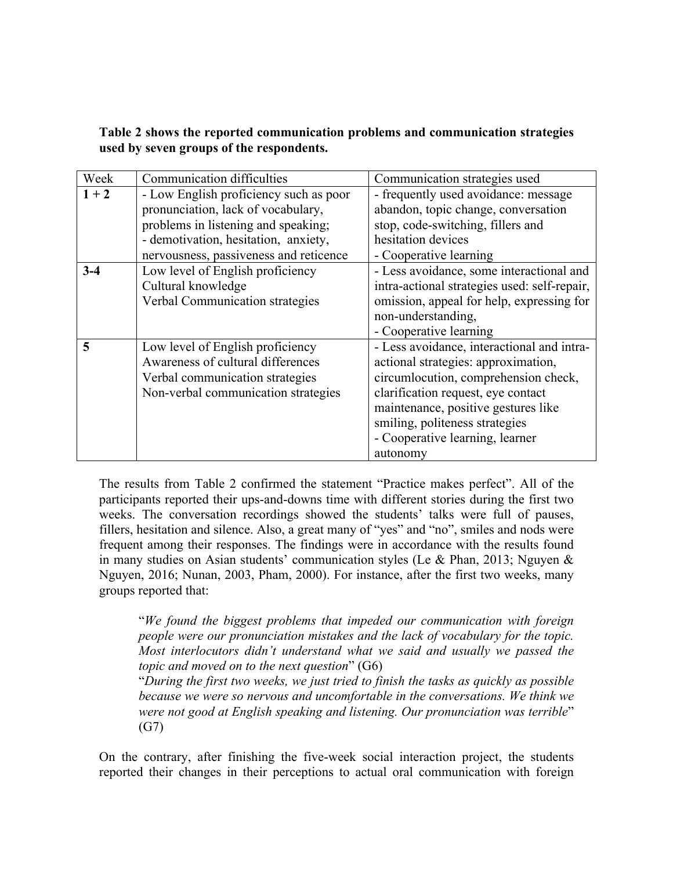**Table 2 shows the reported communication problems and communication strategies used by seven groups of the respondents.**

| Week    | <b>Communication difficulties</b>      | Communication strategies used                |  |  |
|---------|----------------------------------------|----------------------------------------------|--|--|
| $1 + 2$ | - Low English proficiency such as poor | - frequently used avoidance: message         |  |  |
|         | pronunciation, lack of vocabulary,     | abandon, topic change, conversation          |  |  |
|         | problems in listening and speaking;    | stop, code-switching, fillers and            |  |  |
|         | - demotivation, hesitation, anxiety,   | hesitation devices                           |  |  |
|         | nervousness, passiveness and reticence | - Cooperative learning                       |  |  |
| $3-4$   | Low level of English proficiency       | - Less avoidance, some interactional and     |  |  |
|         | Cultural knowledge                     | intra-actional strategies used: self-repair, |  |  |
|         | Verbal Communication strategies        | omission, appeal for help, expressing for    |  |  |
|         |                                        | non-understanding,                           |  |  |
|         |                                        | - Cooperative learning                       |  |  |
| 5       | Low level of English proficiency       | - Less avoidance, interactional and intra-   |  |  |
|         | Awareness of cultural differences      | actional strategies: approximation,          |  |  |
|         | Verbal communication strategies        | circumlocution, comprehension check,         |  |  |
|         | Non-verbal communication strategies    | clarification request, eye contact           |  |  |
|         |                                        | maintenance, positive gestures like          |  |  |
|         |                                        | smiling, politeness strategies               |  |  |
|         |                                        | - Cooperative learning, learner              |  |  |
|         |                                        | autonomy                                     |  |  |

The results from Table 2 confirmed the statement "Practice makes perfect". All of the participants reported their ups-and-downs time with different stories during the first two weeks. The conversation recordings showed the students' talks were full of pauses, fillers, hesitation and silence. Also, a great many of "yes" and "no", smiles and nods were frequent among their responses. The findings were in accordance with the results found in many studies on Asian students' communication styles (Le & Phan, 2013; Nguyen  $\&$ Nguyen, 2016; Nunan, 2003, Pham, 2000). For instance, after the first two weeks, many groups reported that:

"*We found the biggest problems that impeded our communication with foreign people were our pronunciation mistakes and the lack of vocabulary for the topic. Most interlocutors didn't understand what we said and usually we passed the topic and moved on to the next question*" (G6)

"*During the first two weeks, we just tried to finish the tasks as quickly as possible because we were so nervous and uncomfortable in the conversations. We think we were not good at English speaking and listening. Our pronunciation was terrible*" (G7)

On the contrary, after finishing the five-week social interaction project, the students reported their changes in their perceptions to actual oral communication with foreign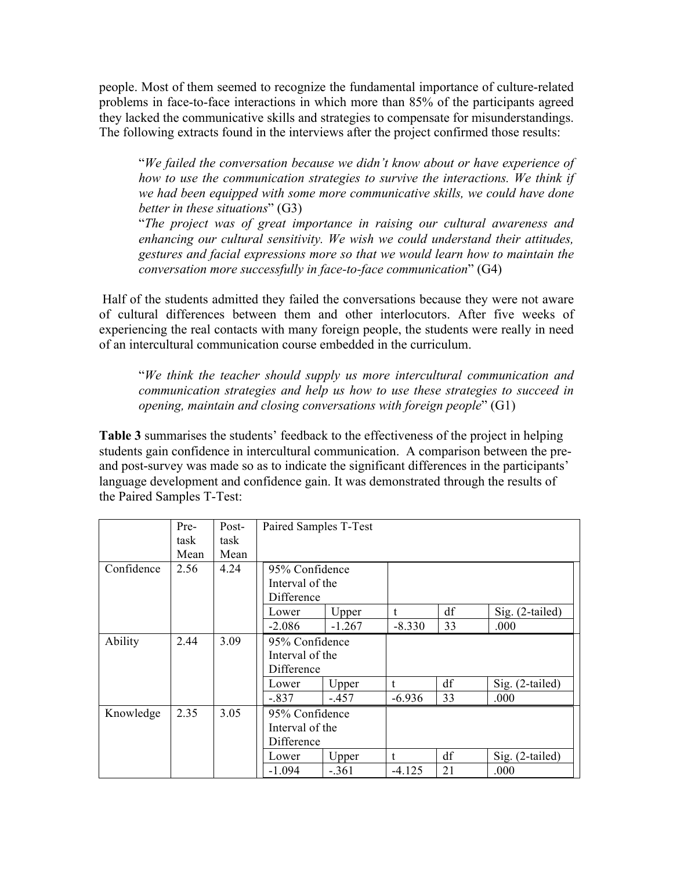people. Most of them seemed to recognize the fundamental importance of culture-related problems in face-to-face interactions in which more than 85% of the participants agreed they lacked the communicative skills and strategies to compensate for misunderstandings. The following extracts found in the interviews after the project confirmed those results:

"*We failed the conversation because we didn't know about or have experience of how to use the communication strategies to survive the interactions. We think if we had been equipped with some more communicative skills, we could have done better in these situations*" (G3)

"*The project was of great importance in raising our cultural awareness and enhancing our cultural sensitivity. We wish we could understand their attitudes, gestures and facial expressions more so that we would learn how to maintain the conversation more successfully in face-to-face communication*" (G4)

Half of the students admitted they failed the conversations because they were not aware of cultural differences between them and other interlocutors. After five weeks of experiencing the real contacts with many foreign people, the students were really in need of an intercultural communication course embedded in the curriculum.

"*We think the teacher should supply us more intercultural communication and communication strategies and help us how to use these strategies to succeed in opening, maintain and closing conversations with foreign people*" (G1)

**Table 3** summarises the students' feedback to the effectiveness of the project in helping students gain confidence in intercultural communication. A comparison between the preand post-survey was made so as to indicate the significant differences in the participants' language development and confidence gain. It was demonstrated through the results of the Paired Samples T-Test:

|            | Pre- | Post- | Paired Samples T-Test |          |            |    |                 |
|------------|------|-------|-----------------------|----------|------------|----|-----------------|
|            | task | task  |                       |          |            |    |                 |
|            | Mean | Mean  |                       |          |            |    |                 |
| Confidence | 2.56 | 4.24  | 95% Confidence        |          |            |    |                 |
|            |      |       | Interval of the       |          |            |    |                 |
|            |      |       | Difference            |          |            |    |                 |
|            |      |       | Lower                 | Upper    | t          | df | Sig. (2-tailed) |
|            |      |       | $-2.086$              | $-1.267$ | $-8.330$   | 33 | .000            |
| Ability    | 2.44 | 3.09  | 95% Confidence        |          |            |    |                 |
|            |      |       | Interval of the       |          |            |    |                 |
|            |      |       | Difference            |          |            |    |                 |
|            |      |       | Lower                 | Upper    | $\ddagger$ | df | Sig. (2-tailed) |
|            |      |       | $-.837$               | $-.457$  | $-6.936$   | 33 | .000            |
| Knowledge  | 2.35 | 3.05  | 95% Confidence        |          |            |    |                 |
|            |      |       | Interval of the       |          |            |    |                 |
|            |      |       | Difference            |          |            |    |                 |
|            |      |       | Lower                 | Upper    | t          | df | Sig. (2-tailed) |
|            |      |       | $-1.094$              | $-.361$  | $-4.125$   | 21 | .000            |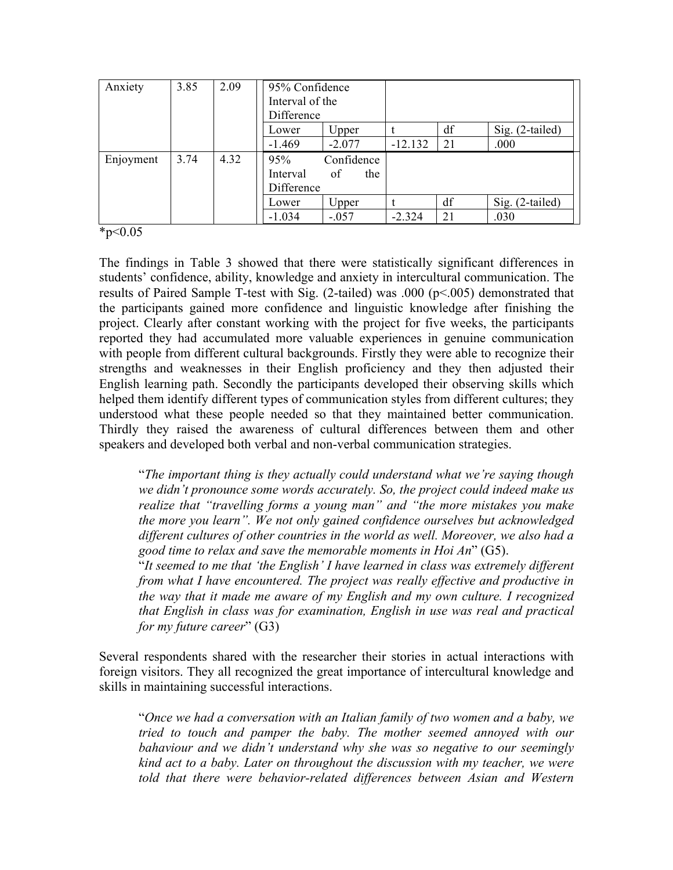| Anxiety   | 3.85 | 2.09 | 95% Confidence<br>Interval of the<br>Difference |                         |           |    |                 |
|-----------|------|------|-------------------------------------------------|-------------------------|-----------|----|-----------------|
|           |      |      | Lower                                           | Upper                   |           | df | Sig. (2-tailed) |
|           |      |      | $-1.469$                                        | $-2.077$                | $-12.132$ | 21 | .000            |
| Enjoyment | 3.74 | 4.32 | 95%<br>Interval<br>Difference                   | Confidence<br>of<br>the |           |    |                 |
|           |      |      | Lower                                           | Upper                   |           | df | Sig. (2-tailed) |
|           |      |      | $-1.034$                                        | $-.057$                 | $-2.324$  | 21 | .030            |

 $*_{p<0.05}$ 

The findings in Table 3 showed that there were statistically significant differences in students' confidence, ability, knowledge and anxiety in intercultural communication. The results of Paired Sample T-test with Sig. (2-tailed) was .000 (p<.005) demonstrated that the participants gained more confidence and linguistic knowledge after finishing the project. Clearly after constant working with the project for five weeks, the participants reported they had accumulated more valuable experiences in genuine communication with people from different cultural backgrounds. Firstly they were able to recognize their strengths and weaknesses in their English proficiency and they then adjusted their English learning path. Secondly the participants developed their observing skills which helped them identify different types of communication styles from different cultures; they understood what these people needed so that they maintained better communication. Thirdly they raised the awareness of cultural differences between them and other speakers and developed both verbal and non-verbal communication strategies.

"*The important thing is they actually could understand what we're saying though we didn't pronounce some words accurately. So, the project could indeed make us realize that "travelling forms a young man" and "the more mistakes you make the more you learn". We not only gained confidence ourselves but acknowledged different cultures of other countries in the world as well. Moreover, we also had a good time to relax and save the memorable moments in Hoi An*" (G5).

"*It seemed to me that 'the English' I have learned in class was extremely different from what I have encountered. The project was really effective and productive in the way that it made me aware of my English and my own culture. I recognized that English in class was for examination, English in use was real and practical for my future career*" (G3)

Several respondents shared with the researcher their stories in actual interactions with foreign visitors. They all recognized the great importance of intercultural knowledge and skills in maintaining successful interactions.

"*Once we had a conversation with an Italian family of two women and a baby, we tried to touch and pamper the baby. The mother seemed annoyed with our bahaviour and we didn't understand why she was so negative to our seemingly kind act to a baby. Later on throughout the discussion with my teacher, we were told that there were behavior-related differences between Asian and Western*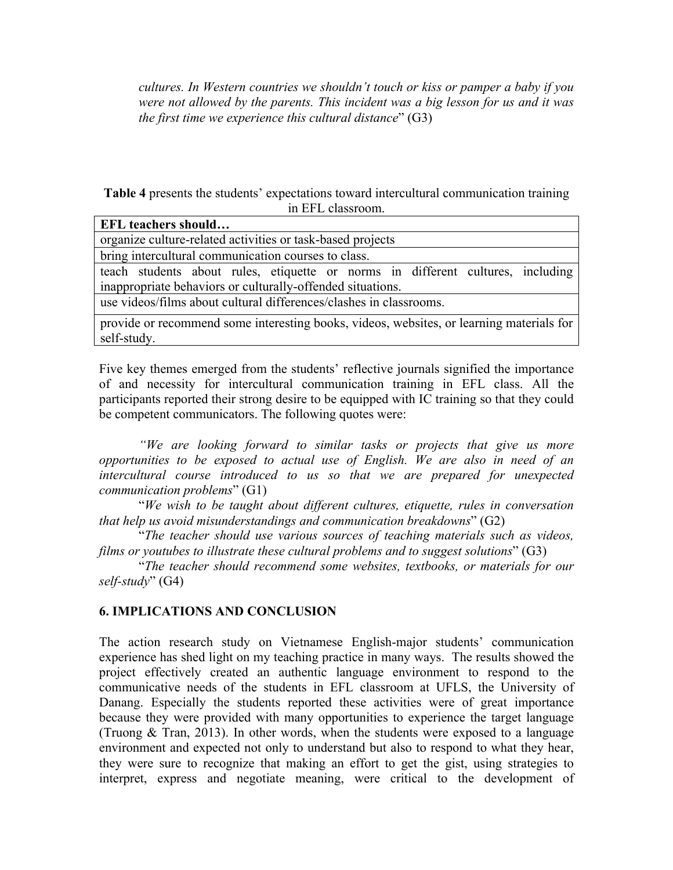*cultures. In Western countries we shouldn't touch or kiss or pamper a baby if you were not allowed by the parents. This incident was a big lesson for us and it was the first time we experience this cultural distance*" (G3)

**Table 4** presents the students' expectations toward intercultural communication training in EFL classroom.

| <b>EFL</b> teachers should                                                                              |  |  |  |  |  |
|---------------------------------------------------------------------------------------------------------|--|--|--|--|--|
| organize culture-related activities or task-based projects                                              |  |  |  |  |  |
| bring intercultural communication courses to class.                                                     |  |  |  |  |  |
| teach students about rules, etiquette or norms in different cultures, including                         |  |  |  |  |  |
| inappropriate behaviors or culturally-offended situations.                                              |  |  |  |  |  |
| use videos/films about cultural differences/clashes in classrooms.                                      |  |  |  |  |  |
| provide or recommend some interesting books, videos, websites, or learning materials for<br>self-study. |  |  |  |  |  |

Five key themes emerged from the students' reflective journals signified the importance of and necessity for intercultural communication training in EFL class. All the participants reported their strong desire to be equipped with IC training so that they could be competent communicators. The following quotes were:

*"We are looking forward to similar tasks or projects that give us more opportunities to be exposed to actual use of English. We are also in need of an intercultural course introduced to us so that we are prepared for unexpected communication problems*" (G1)

"*We wish to be taught about different cultures, etiquette, rules in conversation that help us avoid misunderstandings and communication breakdowns*" (G2)

"*The teacher should use various sources of teaching materials such as videos, films or youtubes to illustrate these cultural problems and to suggest solutions*" (G3)

"*The teacher should recommend some websites, textbooks, or materials for our self-study*" (G4)

## **6. IMPLICATIONS AND CONCLUSION**

The action research study on Vietnamese English-major students' communication experience has shed light on my teaching practice in many ways. The results showed the project effectively created an authentic language environment to respond to the communicative needs of the students in EFL classroom at UFLS, the University of Danang. Especially the students reported these activities were of great importance because they were provided with many opportunities to experience the target language (Truong & Tran, 2013). In other words, when the students were exposed to a language environment and expected not only to understand but also to respond to what they hear, they were sure to recognize that making an effort to get the gist, using strategies to interpret, express and negotiate meaning, were critical to the development of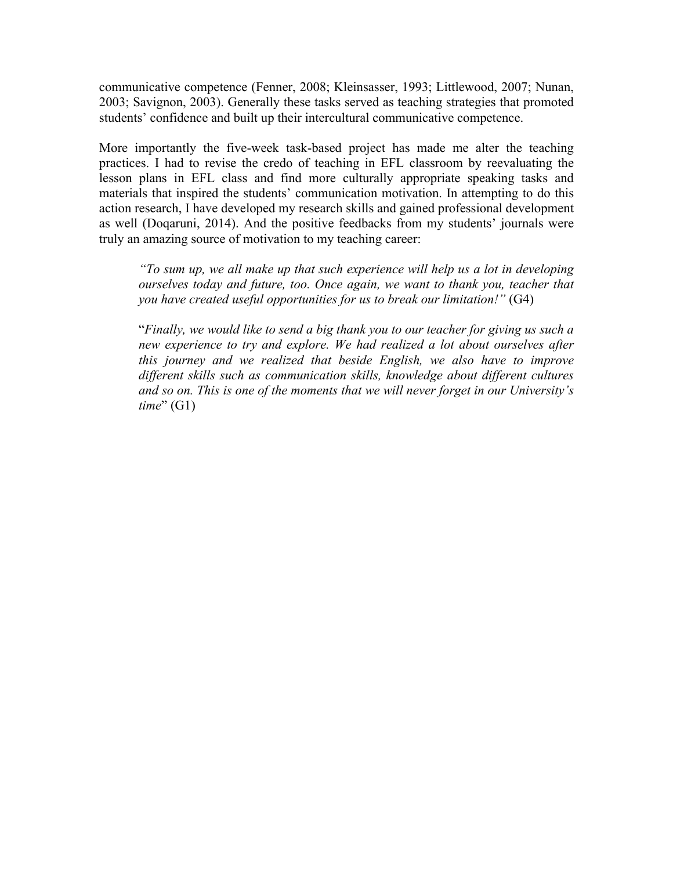communicative competence (Fenner, 2008; Kleinsasser, 1993; Littlewood, 2007; Nunan, 2003; Savignon, 2003). Generally these tasks served as teaching strategies that promoted students' confidence and built up their intercultural communicative competence.

More importantly the five-week task-based project has made me alter the teaching practices. I had to revise the credo of teaching in EFL classroom by reevaluating the lesson plans in EFL class and find more culturally appropriate speaking tasks and materials that inspired the students' communication motivation. In attempting to do this action research, I have developed my research skills and gained professional development as well (Doqaruni, 2014). And the positive feedbacks from my students' journals were truly an amazing source of motivation to my teaching career:

*"To sum up, we all make up that such experience will help us a lot in developing ourselves today and future, too. Once again, we want to thank you, teacher that you have created useful opportunities for us to break our limitation!"* (G4)

"*Finally, we would like to send a big thank you to our teacher for giving us such a new experience to try and explore. We had realized a lot about ourselves after this journey and we realized that beside English, we also have to improve different skills such as communication skills, knowledge about different cultures and so on. This is one of the moments that we will never forget in our University's time*" (G1)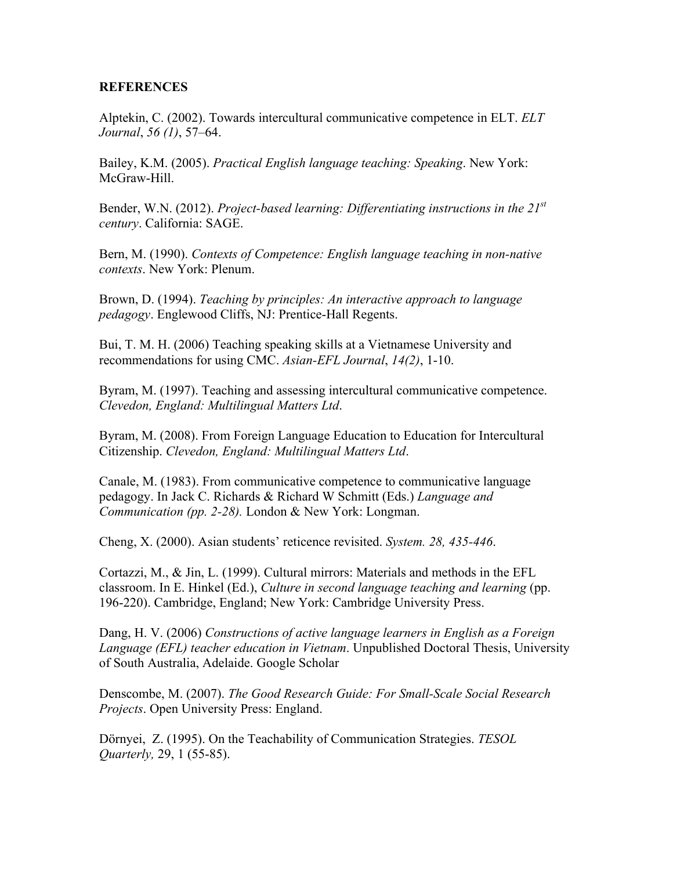#### **REFERENCES**

Alptekin, C. (2002). Towards intercultural communicative competence in ELT. *ELT Journal*, *56 (1)*, 57–64.

Bailey, K.M. (2005). *Practical English language teaching: Speaking*. New York: McGraw-Hill.

Bender, W.N. (2012). *Project-based learning: Differentiating instructions in the 21st century*. California: SAGE.

Bern, M. (1990). *Contexts of Competence: English language teaching in non-native contexts*. New York: Plenum.

Brown, D. (1994). *Teaching by principles: An interactive approach to language pedagogy*. Englewood Cliffs, NJ: Prentice-Hall Regents.

Bui, T. M. H. (2006) Teaching speaking skills at a Vietnamese University and recommendations for using CMC. *Asian-EFL Journal*, *14(2)*, 1-10.

Byram, M. (1997). Teaching and assessing intercultural communicative competence. *Clevedon, England: Multilingual Matters Ltd*.

Byram, M. (2008). From Foreign Language Education to Education for Intercultural Citizenship. *Clevedon, England: Multilingual Matters Ltd*.

Canale, M. (1983). From communicative competence to communicative language pedagogy. In Jack C. Richards & Richard W Schmitt (Eds.) *Language and Communication (pp. 2-28).* London & New York: Longman.

Cheng, X. (2000). Asian students' reticence revisited. *System. 28, 435-446*.

Cortazzi, M., & Jin, L. (1999). Cultural mirrors: Materials and methods in the EFL classroom. In E. Hinkel (Ed.), *Culture in second language teaching and learning* (pp. 196-220). Cambridge, England; New York: Cambridge University Press.

Dang, H. V. (2006) *Constructions of active language learners in English as a Foreign Language (EFL) teacher education in Vietnam*. Unpublished Doctoral Thesis, University of South Australia, Adelaide. Google Scholar

Denscombe, M. (2007). *The Good Research Guide: For Small-Scale Social Research Projects*. Open University Press: England.

Dörnyei, Z. (1995). On the Teachability of Communication Strategies. *TESOL Quarterly,* 29, 1 (55-85).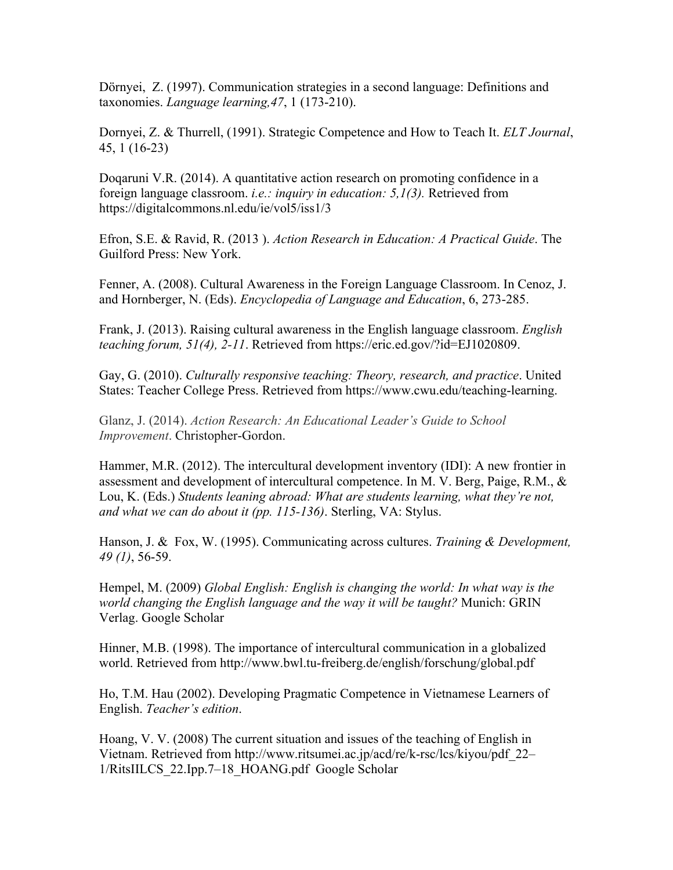Dörnyei, Z. (1997). Communication strategies in a second language: Definitions and taxonomies. *Language learning,47*, 1 (173-210).

Dornyei, Z. & Thurrell, (1991). Strategic Competence and How to Teach It. *ELT Journal*, 45, 1 (16-23)

Doqaruni V.R. (2014). A quantitative action research on promoting confidence in a foreign language classroom. *i.e.: inquiry in education: 5,1(3).* Retrieved from https://digitalcommons.nl.edu/ie/vol5/iss1/3

Efron, S.E. & Ravid, R. (2013 ). *Action Research in Education: A Practical Guide*. The Guilford Press: New York.

Fenner, A. (2008). Cultural Awareness in the Foreign Language Classroom. In Cenoz, J. and Hornberger, N. (Eds). *Encyclopedia of Language and Education*, 6, 273-285.

Frank, J. (2013). Raising cultural awareness in the English language classroom. *English teaching forum, 51(4), 2-11*. Retrieved from https://eric.ed.gov/?id=EJ1020809.

Gay, G. (2010). *Culturally responsive teaching: Theory, research, and practice*. United States: Teacher College Press. Retrieved from https://www.cwu.edu/teaching-learning.

Glanz, J. (2014). *Action Research: An Educational Leader's Guide to School Improvement*. Christopher-Gordon.

Hammer, M.R. (2012). The intercultural development inventory (IDI): A new frontier in assessment and development of intercultural competence. In M. V. Berg, Paige, R.M., & Lou, K. (Eds.) *Students leaning abroad: What are students learning, what they're not, and what we can do about it (pp. 115-136)*. Sterling, VA: Stylus.

Hanson, J. & Fox, W. (1995). Communicating across cultures. *Training & Development, 49 (1)*, 56-59.

Hempel, M. (2009) *Global English: English is changing the world: In what way is the world changing the English language and the way it will be taught?* Munich: GRIN Verlag. Google Scholar

Hinner, M.B. (1998). The importance of intercultural communication in a globalized world. Retrieved from http://www.bwl.tu-freiberg.de/english/forschung/global.pdf

Ho, T.M. Hau (2002). Developing Pragmatic Competence in Vietnamese Learners of English. *Teacher's edition*.

Hoang, V. V. (2008) The current situation and issues of the teaching of English in Vietnam. Retrieved from http://www.ritsumei.ac.jp/acd/re/k-rsc/lcs/kiyou/pdf\_22– 1/RitsIILCS\_22.Ipp.7–18\_HOANG.pdf Google Scholar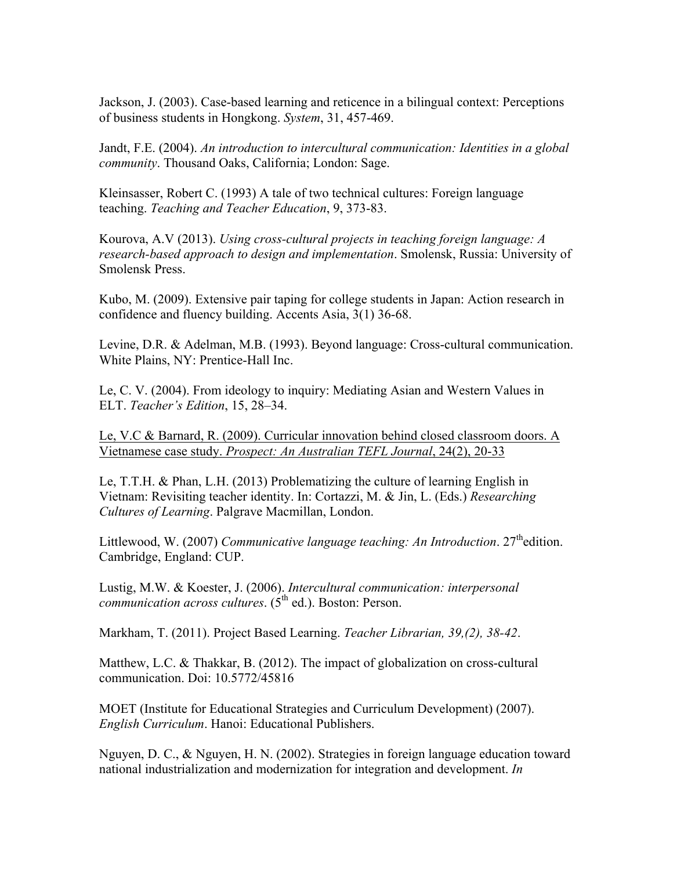Jackson, J. (2003). Case-based learning and reticence in a bilingual context: Perceptions of business students in Hongkong. *System*, 31, 457-469.

Jandt, F.E. (2004). *An introduction to intercultural communication: Identities in a global community*. Thousand Oaks, California; London: Sage.

Kleinsasser, Robert C. (1993) A tale of two technical cultures: Foreign language teaching. *Teaching and Teacher Education*, 9, 373-83.

Kourova, A.V (2013). *Using cross-cultural projects in teaching foreign language: A research-based approach to design and implementation*. Smolensk, Russia: University of Smolensk Press.

Kubo, M. (2009). Extensive pair taping for college students in Japan: Action research in confidence and fluency building. Accents Asia, 3(1) 36-68.

Levine, D.R. & Adelman, M.B. (1993). Beyond language: Cross-cultural communication. White Plains, NY: Prentice-Hall Inc.

Le, C. V. (2004). From ideology to inquiry: Mediating Asian and Western Values in ELT. *Teacher's Edition*, 15, 28–34.

Le, V.C & Barnard, R. (2009). Curricular innovation behind closed classroom doors. A Vietnamese case study. *Prospect: An Australian TEFL Journal*, 24(2), 20-33

Le, T.T.H. & Phan, L.H. (2013) Problematizing the culture of learning English in Vietnam: Revisiting teacher identity. In: Cortazzi, M. & Jin, L. (Eds.) *Researching Cultures of Learning*. Palgrave Macmillan, London.

Littlewood, W. (2007) *Communicative language teaching: An Introduction*. 27<sup>th</sup>edition. Cambridge, England: CUP.

Lustig, M.W. & Koester, J. (2006). *Intercultural communication: interpersonal communication across cultures.* (5<sup>th</sup> ed.). Boston: Person.

Markham, T. (2011). Project Based Learning. *Teacher Librarian, 39,(2), 38-42*.

Matthew, L.C. & Thakkar, B. (2012). The impact of globalization on cross-cultural communication. Doi: 10.5772/45816

MOET (Institute for Educational Strategies and Curriculum Development) (2007). *English Curriculum*. Hanoi: Educational Publishers.

Nguyen, D. C., & Nguyen, H. N. (2002). Strategies in foreign language education toward national industrialization and modernization for integration and development. *In*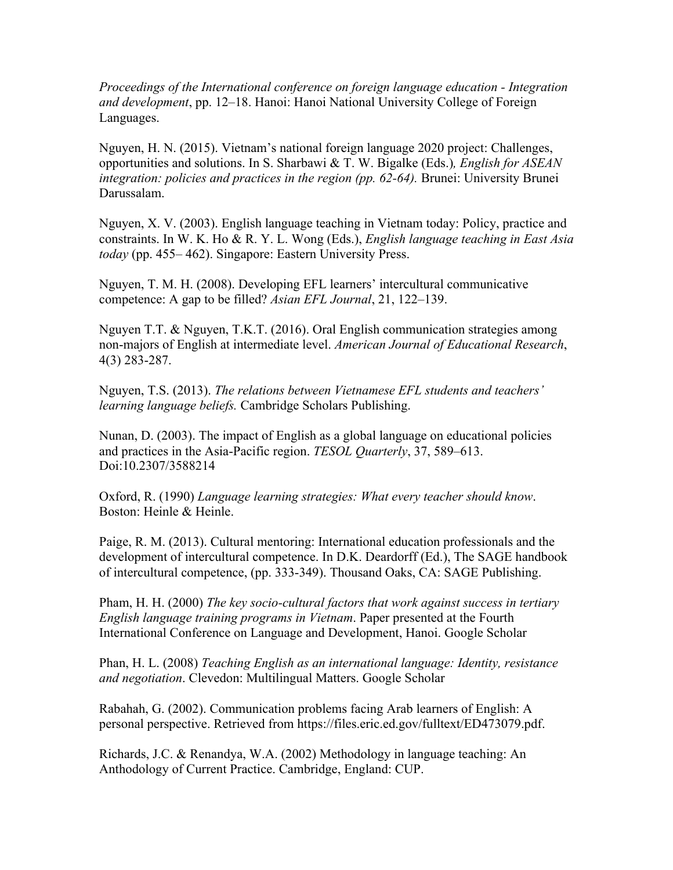*Proceedings of the International conference on foreign language education - Integration and development*, pp. 12–18. Hanoi: Hanoi National University College of Foreign Languages.

Nguyen, H. N. (2015). Vietnam's national foreign language 2020 project: Challenges, opportunities and solutions. In S. Sharbawi & T. W. Bigalke (Eds.)*, English for ASEAN integration: policies and practices in the region (pp. 62-64).* Brunei: University Brunei Darussalam.

Nguyen, X. V. (2003). English language teaching in Vietnam today: Policy, practice and constraints. In W. K. Ho & R. Y. L. Wong (Eds.), *English language teaching in East Asia today* (pp. 455– 462). Singapore: Eastern University Press.

Nguyen, T. M. H. (2008). Developing EFL learners' intercultural communicative competence: A gap to be filled? *Asian EFL Journal*, 21, 122–139.

Nguyen T.T. & Nguyen, T.K.T. (2016). Oral English communication strategies among non-majors of English at intermediate level. *American Journal of Educational Research*, 4(3) 283-287.

Nguyen, T.S. (2013). *The relations between Vietnamese EFL students and teachers' learning language beliefs.* Cambridge Scholars Publishing.

Nunan, D. (2003). The impact of English as a global language on educational policies and practices in the Asia-Pacific region. *TESOL Quarterly*, 37, 589–613. Doi:10.2307/3588214

Oxford, R. (1990) *Language learning strategies: What every teacher should know*. Boston: Heinle & Heinle.

Paige, R. M. (2013). Cultural mentoring: International education professionals and the development of intercultural competence. In D.K. Deardorff (Ed.), The SAGE handbook of intercultural competence, (pp. 333-349). Thousand Oaks, CA: SAGE Publishing.

Pham, H. H. (2000) *The key socio-cultural factors that work against success in tertiary English language training programs in Vietnam*. Paper presented at the Fourth International Conference on Language and Development, Hanoi. Google Scholar

Phan, H. L. (2008) *Teaching English as an international language: Identity, resistance and negotiation*. Clevedon: Multilingual Matters. Google Scholar

Rabahah, G. (2002). Communication problems facing Arab learners of English: A personal perspective. Retrieved from https://files.eric.ed.gov/fulltext/ED473079.pdf.

Richards, J.C. & Renandya, W.A. (2002) Methodology in language teaching: An Anthodology of Current Practice. Cambridge, England: CUP.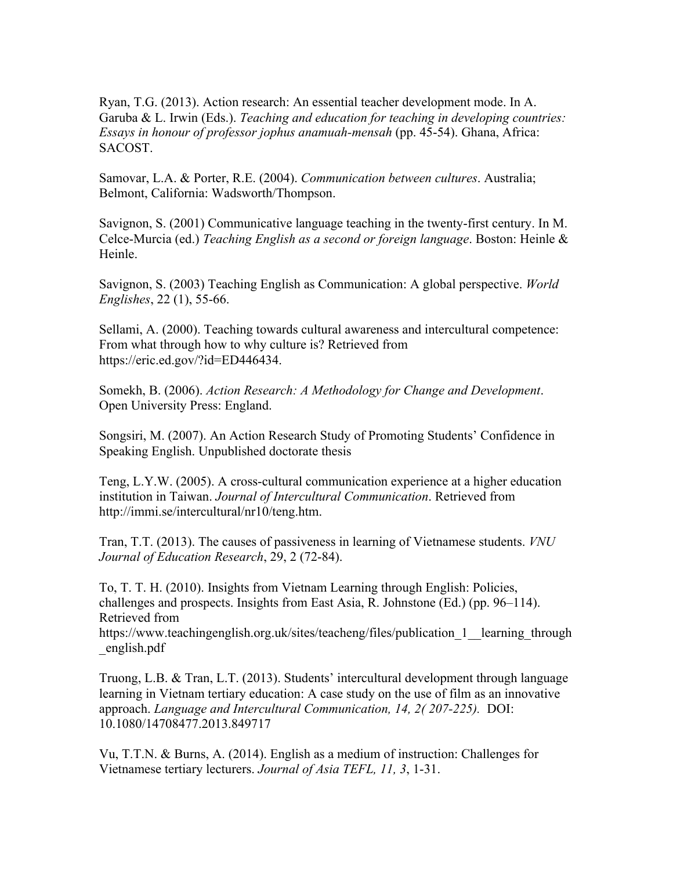Ryan, T.G. (2013). Action research: An essential teacher development mode. In A. Garuba & L. Irwin (Eds.). *Teaching and education for teaching in developing countries: Essays in honour of professor jophus anamuah-mensah* (pp. 45-54). Ghana, Africa: SACOST.

Samovar, L.A. & Porter, R.E. (2004). *Communication between cultures*. Australia; Belmont, California: Wadsworth/Thompson.

Savignon, S. (2001) Communicative language teaching in the twenty-first century. In M. Celce-Murcia (ed.) *Teaching English as a second or foreign language*. Boston: Heinle & Heinle.

Savignon, S. (2003) Teaching English as Communication: A global perspective. *World Englishes*, 22 (1), 55-66.

Sellami, A. (2000). Teaching towards cultural awareness and intercultural competence: From what through how to why culture is? Retrieved from https://eric.ed.gov/?id=ED446434.

Somekh, B. (2006). *Action Research: A Methodology for Change and Development*. Open University Press: England.

Songsiri, M. (2007). An Action Research Study of Promoting Students' Confidence in Speaking English. Unpublished doctorate thesis

Teng, L.Y.W. (2005). A cross-cultural communication experience at a higher education institution in Taiwan. *Journal of Intercultural Communication*. Retrieved from http://immi.se/intercultural/nr10/teng.htm.

Tran, T.T. (2013). The causes of passiveness in learning of Vietnamese students. *VNU Journal of Education Research*, 29, 2 (72-84).

To, T. T. H. (2010). Insights from Vietnam Learning through English: Policies, challenges and prospects. Insights from East Asia, R. Johnstone (Ed.) (pp. 96–114). Retrieved from

https://www.teachingenglish.org.uk/sites/teacheng/files/publication 1 learning through \_english.pdf

Truong, L.B. & Tran, L.T. (2013). Students' intercultural development through language learning in Vietnam tertiary education: A case study on the use of film as an innovative approach. *Language and Intercultural Communication, 14, 2( 207-225).* DOI: 10.1080/14708477.2013.849717

Vu, T.T.N. & Burns, A. (2014). English as a medium of instruction: Challenges for Vietnamese tertiary lecturers. *Journal of Asia TEFL, 11, 3*, 1-31.